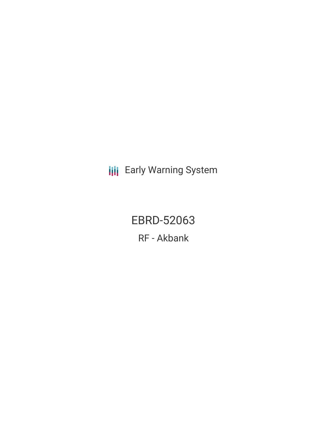**III** Early Warning System

EBRD-52063 RF - Akbank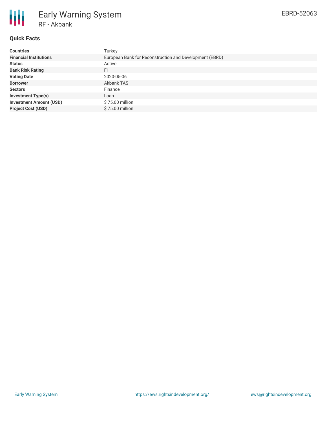

## **Quick Facts**

| <b>Countries</b>               | Turkey                                                  |
|--------------------------------|---------------------------------------------------------|
| <b>Financial Institutions</b>  | European Bank for Reconstruction and Development (EBRD) |
| <b>Status</b>                  | Active                                                  |
| <b>Bank Risk Rating</b>        | FI                                                      |
| <b>Voting Date</b>             | 2020-05-06                                              |
| <b>Borrower</b>                | Akbank TAS                                              |
| <b>Sectors</b>                 | Finance                                                 |
| <b>Investment Type(s)</b>      | Loan                                                    |
| <b>Investment Amount (USD)</b> | \$75.00 million                                         |
| <b>Project Cost (USD)</b>      | \$75,00 million                                         |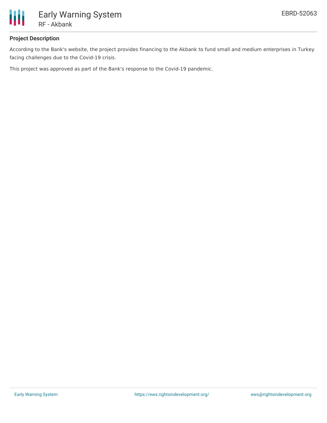

# **Project Description**

According to the Bank's website, the project provides financing to the Akbank to fund small and medium enterprises in Turkey facing challenges due to the Covid-19 crisis.

This project was approved as part of the Bank's response to the Covid-19 pandemic.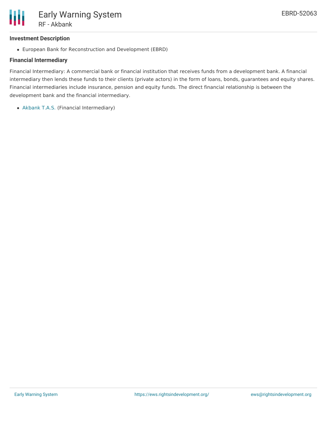

### **Investment Description**

European Bank for Reconstruction and Development (EBRD)

## **Financial Intermediary**

Financial Intermediary: A commercial bank or financial institution that receives funds from a development bank. A financial intermediary then lends these funds to their clients (private actors) in the form of loans, bonds, guarantees and equity shares. Financial intermediaries include insurance, pension and equity funds. The direct financial relationship is between the development bank and the financial intermediary.

[Akbank](file:///actor/898/) T.A.S. (Financial Intermediary)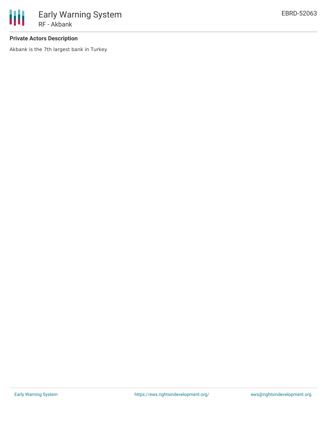

### **Private Actors Description**

Akbank is the 7th largest bank in Turkey